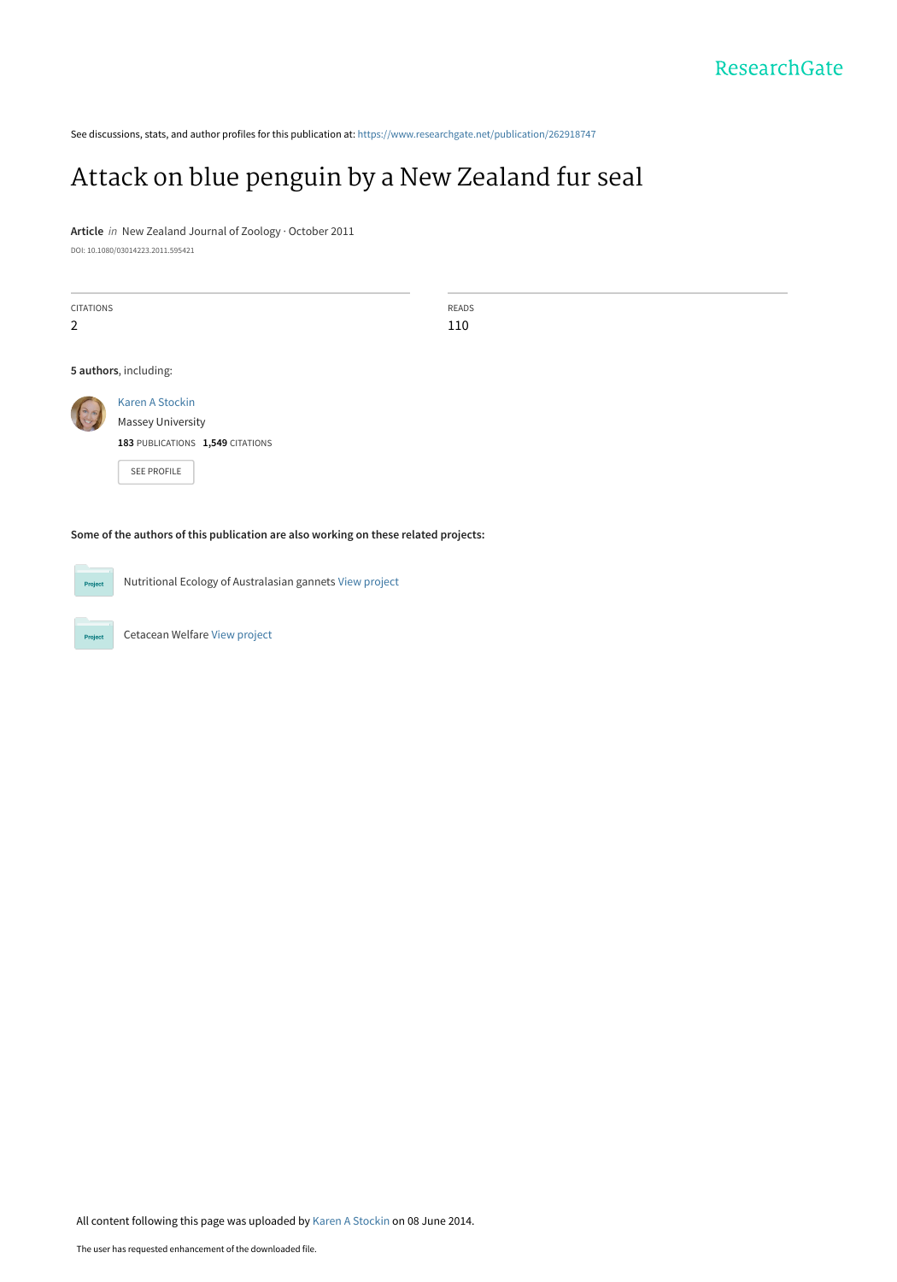See discussions, stats, and author profiles for this publication at: [https://www.researchgate.net/publication/262918747](https://www.researchgate.net/publication/262918747_Attack_on_blue_penguin_by_a_New_Zealand_fur_seal?enrichId=rgreq-cb23f03f7a3f224e8a07bf1dd87de858-XXX&enrichSource=Y292ZXJQYWdlOzI2MjkxODc0NztBUzoxMDU5Mjg4OTY1NDg4NjRAMTQwMjI2NjgyNTAyOA%3D%3D&el=1_x_2&_esc=publicationCoverPdf)

## [Attack on blue penguin by a New Zealand fur seal](https://www.researchgate.net/publication/262918747_Attack_on_blue_penguin_by_a_New_Zealand_fur_seal?enrichId=rgreq-cb23f03f7a3f224e8a07bf1dd87de858-XXX&enrichSource=Y292ZXJQYWdlOzI2MjkxODc0NztBUzoxMDU5Mjg4OTY1NDg4NjRAMTQwMjI2NjgyNTAyOA%3D%3D&el=1_x_3&_esc=publicationCoverPdf)

**Article** in New Zealand Journal of Zoology · October 2011

DOI: 10.1080/03014223.2011.595421

| <b>CITATIONS</b><br>2 |                                                                                         | <b>READS</b><br>110 |
|-----------------------|-----------------------------------------------------------------------------------------|---------------------|
|                       | 5 authors, including:                                                                   |                     |
|                       | Karen A Stockin<br>Massey University<br>183 PUBLICATIONS 1,549 CITATIONS<br>SEE PROFILE |                     |
|                       | Some of the authors of this publication are also working on these related projects:     |                     |

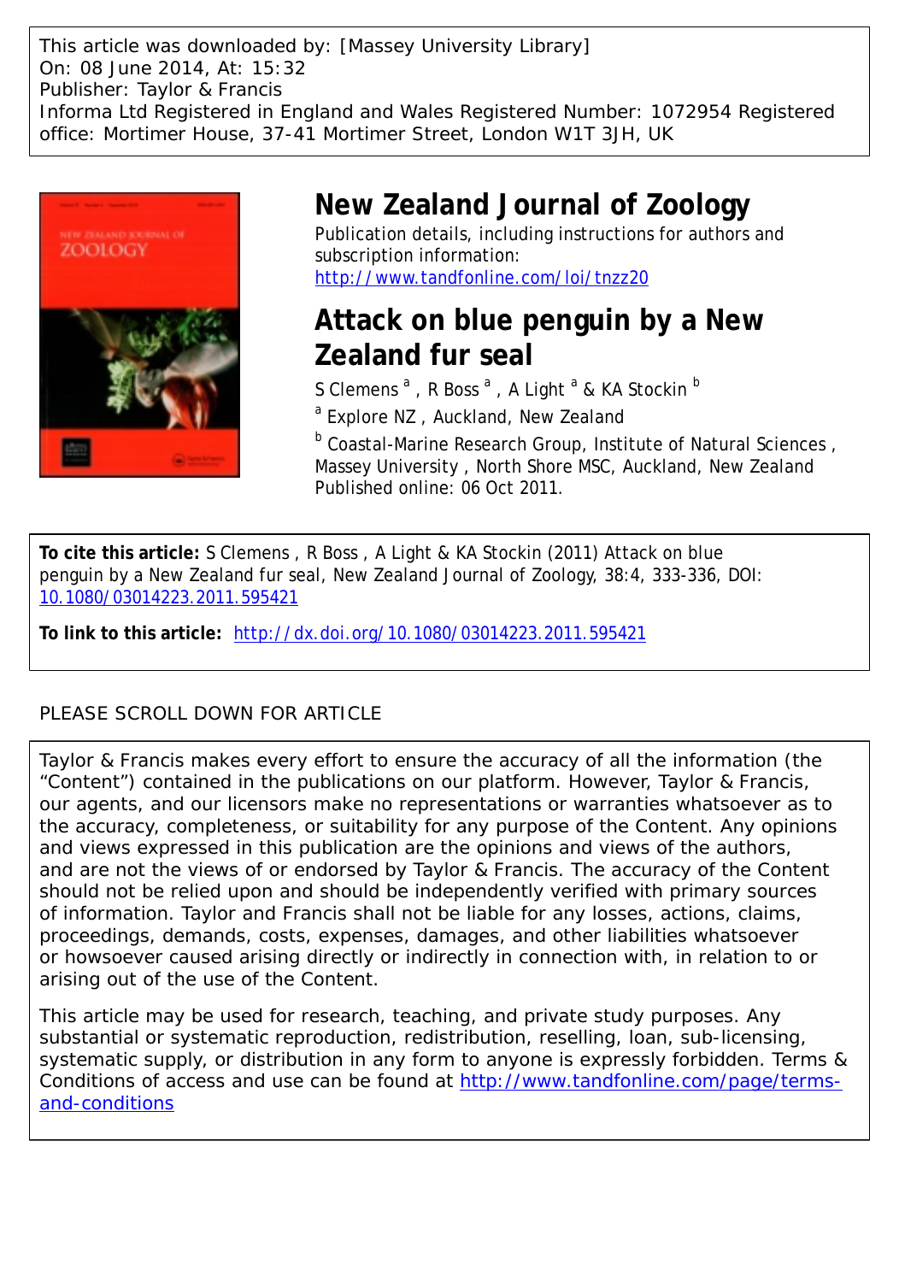This article was downloaded by: [Massey University Library] On: 08 June 2014, At: 15:32 Publisher: Taylor & Francis Informa Ltd Registered in England and Wales Registered Number: 1072954 Registered office: Mortimer House, 37-41 Mortimer Street, London W1T 3JH, UK



# **New Zealand Journal of Zoology**

Publication details, including instructions for authors and subscription information: <http://www.tandfonline.com/loi/tnzz20>

# **Attack on blue penguin by a New Zealand fur seal**

S Clemens  $^{\mathrm{a}}$  , R Boss  $^{\mathrm{a}}$  , A Light  $^{\mathrm{a}}$  & KA Stockin  $^{\mathrm{b}}$ 

<sup>a</sup> Explore NZ, Auckland, New Zealand

**b Coastal-Marine Research Group, Institute of Natural Sciences,** Massey University , North Shore MSC, Auckland, New Zealand Published online: 06 Oct 2011.

**To cite this article:** S Clemens , R Boss , A Light & KA Stockin (2011) Attack on blue penguin by a New Zealand fur seal, New Zealand Journal of Zoology, 38:4, 333-336, DOI: [10.1080/03014223.2011.595421](http://www.tandfonline.com/action/showCitFormats?doi=10.1080/03014223.2011.595421)

**To link to this article:** <http://dx.doi.org/10.1080/03014223.2011.595421>

### PLEASE SCROLL DOWN FOR ARTICLE

Taylor & Francis makes every effort to ensure the accuracy of all the information (the "Content") contained in the publications on our platform. However, Taylor & Francis, our agents, and our licensors make no representations or warranties whatsoever as to the accuracy, completeness, or suitability for any purpose of the Content. Any opinions and views expressed in this publication are the opinions and views of the authors, and are not the views of or endorsed by Taylor & Francis. The accuracy of the Content should not be relied upon and should be independently verified with primary sources of information. Taylor and Francis shall not be liable for any losses, actions, claims, proceedings, demands, costs, expenses, damages, and other liabilities whatsoever or howsoever caused arising directly or indirectly in connection with, in relation to or arising out of the use of the Content.

This article may be used for research, teaching, and private study purposes. Any substantial or systematic reproduction, redistribution, reselling, loan, sub-licensing, systematic supply, or distribution in any form to anyone is expressly forbidden. Terms & Conditions of access and use can be found at [http://www.tandfonline.com/page/terms](http://www.tandfonline.com/page/terms-and-conditions)[and-conditions](http://www.tandfonline.com/page/terms-and-conditions)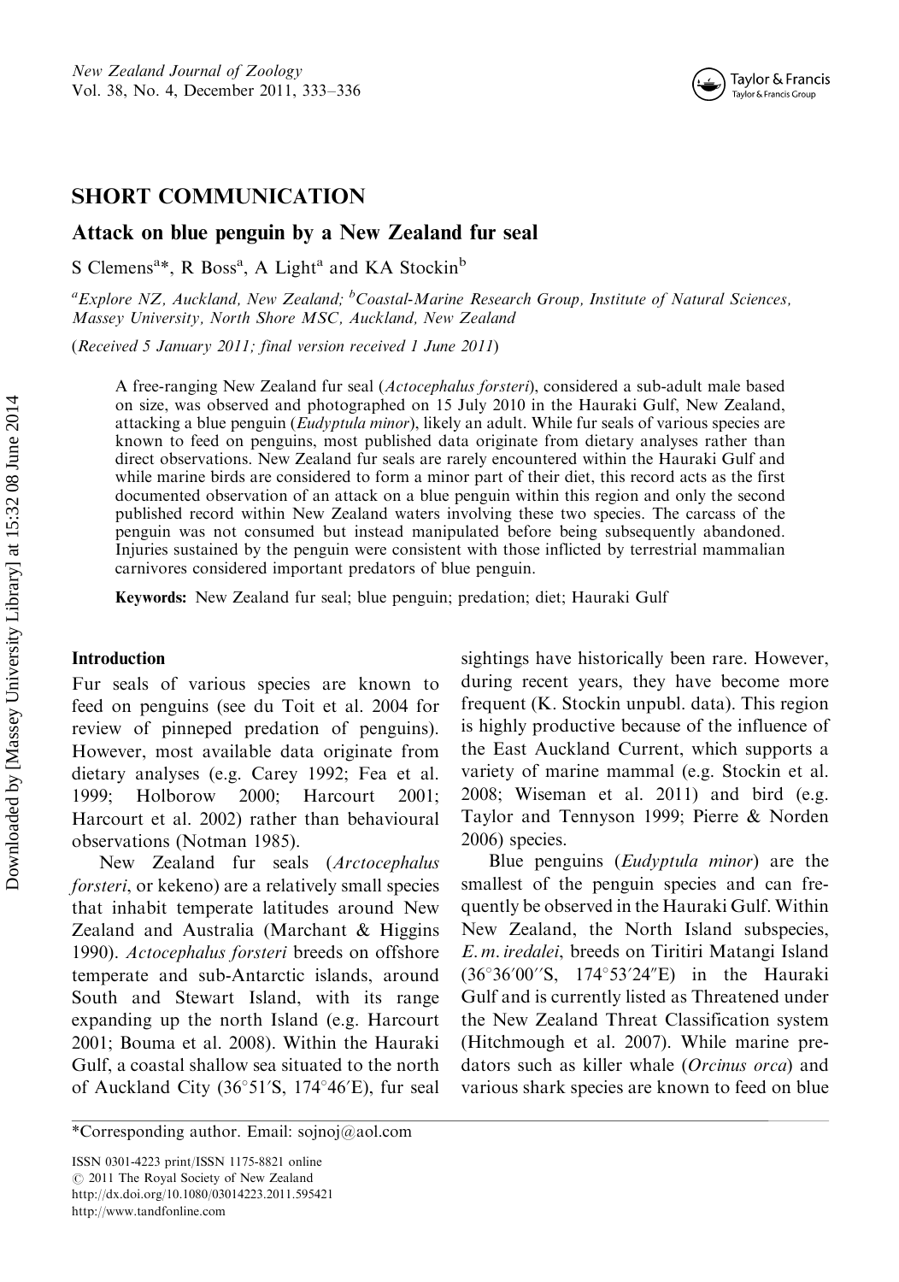### SHORT COMMUNICATION

#### Attack on blue penguin by a New Zealand fur seal

S Clemens<sup>a\*</sup>, R Boss<sup>a</sup>, A Light<sup>a</sup> and KA Stockin<sup>b</sup>

<sup>a</sup> Explore NZ, Auckland, New Zealand; <sup>b</sup> Coastal-Marine Research Group, Institute of Natural Sciences, Massey University, North Shore MSC, Auckland, New Zealand

(Received 5 January 2011; final version received 1 June 2011)

A free-ranging New Zealand fur seal (Actocephalus forsteri), considered a sub-adult male based on size, was observed and photographed on 15 July 2010 in the Hauraki Gulf, New Zealand, attacking a blue penguin (Eudyptula minor), likely an adult. While fur seals of various species are known to feed on penguins, most published data originate from dietary analyses rather than direct observations. New Zealand fur seals are rarely encountered within the Hauraki Gulf and while marine birds are considered to form a minor part of their diet, this record acts as the first documented observation of an attack on a blue penguin within this region and only the second published record within New Zealand waters involving these two species. The carcass of the penguin was not consumed but instead manipulated before being subsequently abandoned. Injuries sustained by the penguin were consistent with those inflicted by terrestrial mammalian carnivores considered important predators of blue penguin.

Keywords: New Zealand fur seal; blue penguin; predation; diet; Hauraki Gulf

#### Introduction

Fur seals of various species are known to feed on penguins (see du Toit et al. 2004 for review of pinneped predation of penguins). However, most available data originate from dietary analyses (e.g. Carey 1992; Fea et al. 1999; Holborow 2000; Harcourt 2001; Harcourt et al. 2002) rather than behavioural observations (Notman 1985).

New Zealand fur seals (Arctocephalus forsteri, or kekeno) are a relatively small species that inhabit temperate latitudes around New Zealand and Australia (Marchant & Higgins 1990). Actocephalus forsteri breeds on offshore temperate and sub-Antarctic islands, around South and Stewart Island, with its range expanding up the north Island (e.g. Harcourt 2001; Bouma et al. 2008). Within the Hauraki Gulf, a coastal shallow sea situated to the north of Auckland City  $(36°51′S, 174°46′E)$ , fur seal

ISSN 0301-4223 print/ISSN 1175-8821 online  $\odot$  2011 The Royal Society of New Zealand <http://dx.doi.org/10.1080/03014223.2011.595421> <http://www.tandfonline.com>

sightings have historically been rare. However, during recent years, they have become more frequent (K. Stockin unpubl. data). This region is highly productive because of the influence of the East Auckland Current, which supports a variety of marine mammal (e.g. Stockin et al. 2008; Wiseman et al. 2011) and bird (e.g. Taylor and Tennyson 1999; Pierre & Norden 2006) species.

Blue penguins (Eudyptula minor) are the smallest of the penguin species and can frequently be observed in the Hauraki Gulf. Within New Zealand, the North Island subspecies, E. m. iredalei, breeds on Tiritiri Matangi Island  $(36°36'00''S, 174°53'24"E)$  in the Hauraki Gulf and is currently listed as Threatened under the New Zealand Threat Classification system (Hitchmough et al. 2007). While marine predators such as killer whale (Orcinus orca) and various shark species are known to feed on blue

<sup>\*</sup>Corresponding author. Email: sojnoj@aol.com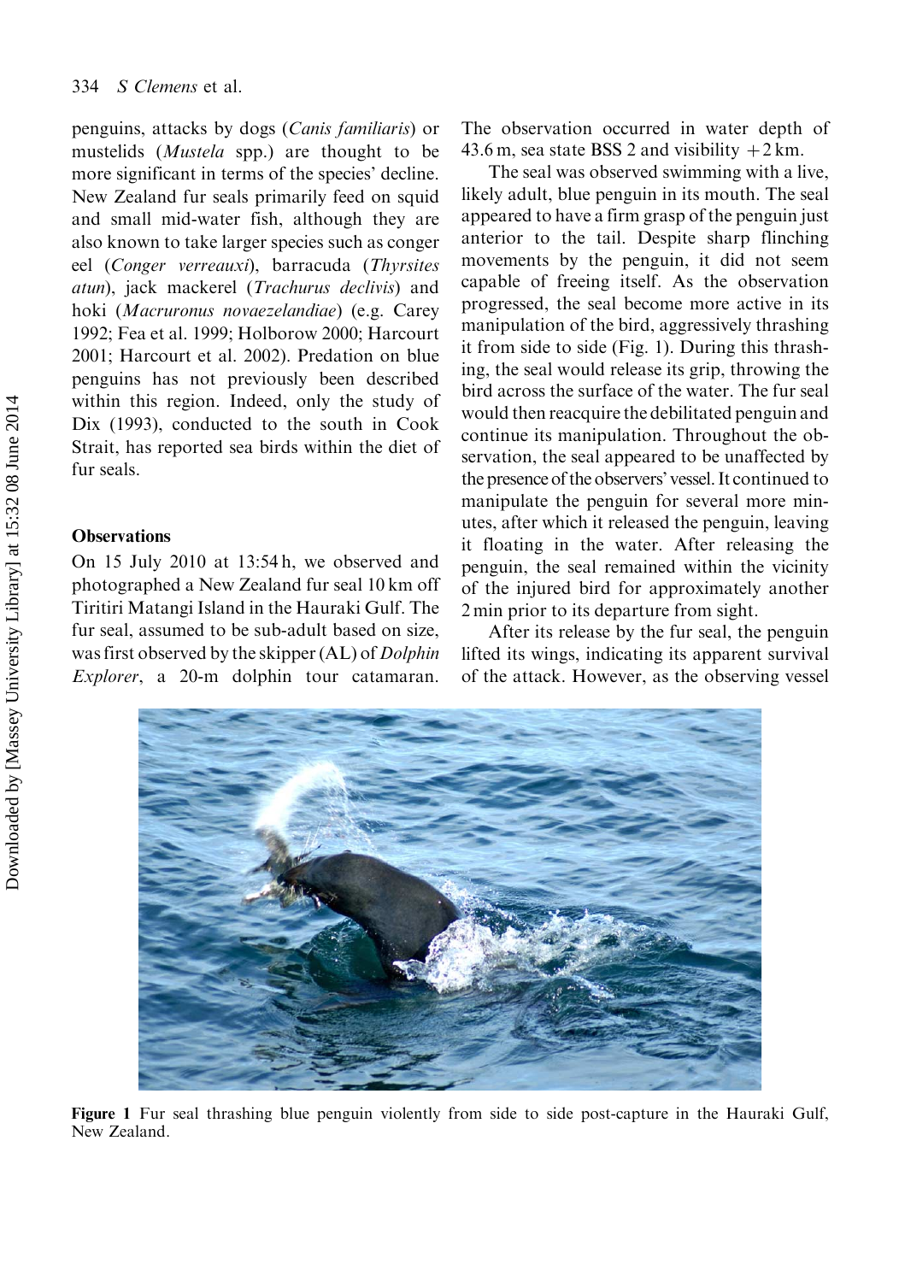penguins, attacks by dogs (Canis familiaris) or mustelids (Mustela spp.) are thought to be more significant in terms of the species' decline. New Zealand fur seals primarily feed on squid and small mid-water fish, although they are also known to take larger species such as conger eel (Conger verreauxi), barracuda (Thyrsites atun), jack mackerel (Trachurus declivis) and hoki (Macruronus novaezelandiae) (e.g. Carey 1992; Fea et al. 1999; Holborow 2000; Harcourt 2001; Harcourt et al. 2002). Predation on blue penguins has not previously been described within this region. Indeed, only the study of Dix (1993), conducted to the south in Cook Strait, has reported sea birds within the diet of fur seals.

#### **Observations**

On 15 July 2010 at 13:54 h, we observed and photographed a New Zealand fur seal 10 km off Tiritiri Matangi Island in the Hauraki Gulf. The fur seal, assumed to be sub-adult based on size, was first observed by the skipper (AL) of *Dolphin* Explorer, a 20-m dolphin tour catamaran.

The observation occurred in water depth of 43.6 m, sea state BSS 2 and visibility  $+2$  km.

The seal was observed swimming with a live, likely adult, blue penguin in its mouth. The seal appeared to have a firm grasp of the penguin just anterior to the tail. Despite sharp flinching movements by the penguin, it did not seem capable of freeing itself. As the observation progressed, the seal become more active in its manipulation of the bird, aggressively thrashing it from side to side (Fig. 1). During this thrashing, the seal would release its grip, throwing the bird across the surface of the water. The fur seal would then reacquire the debilitated penguin and continue its manipulation. Throughout the observation, the seal appeared to be unaffected by the presence of the observers' vessel. It continued to manipulate the penguin for several more minutes, after which it released the penguin, leaving it floating in the water. After releasing the penguin, the seal remained within the vicinity of the injured bird for approximately another 2 min prior to its departure from sight.

After its release by the fur seal, the penguin lifted its wings, indicating its apparent survival of the attack. However, as the observing vessel



Figure 1 Fur seal thrashing blue penguin violently from side to side post-capture in the Hauraki Gulf, New Zealand.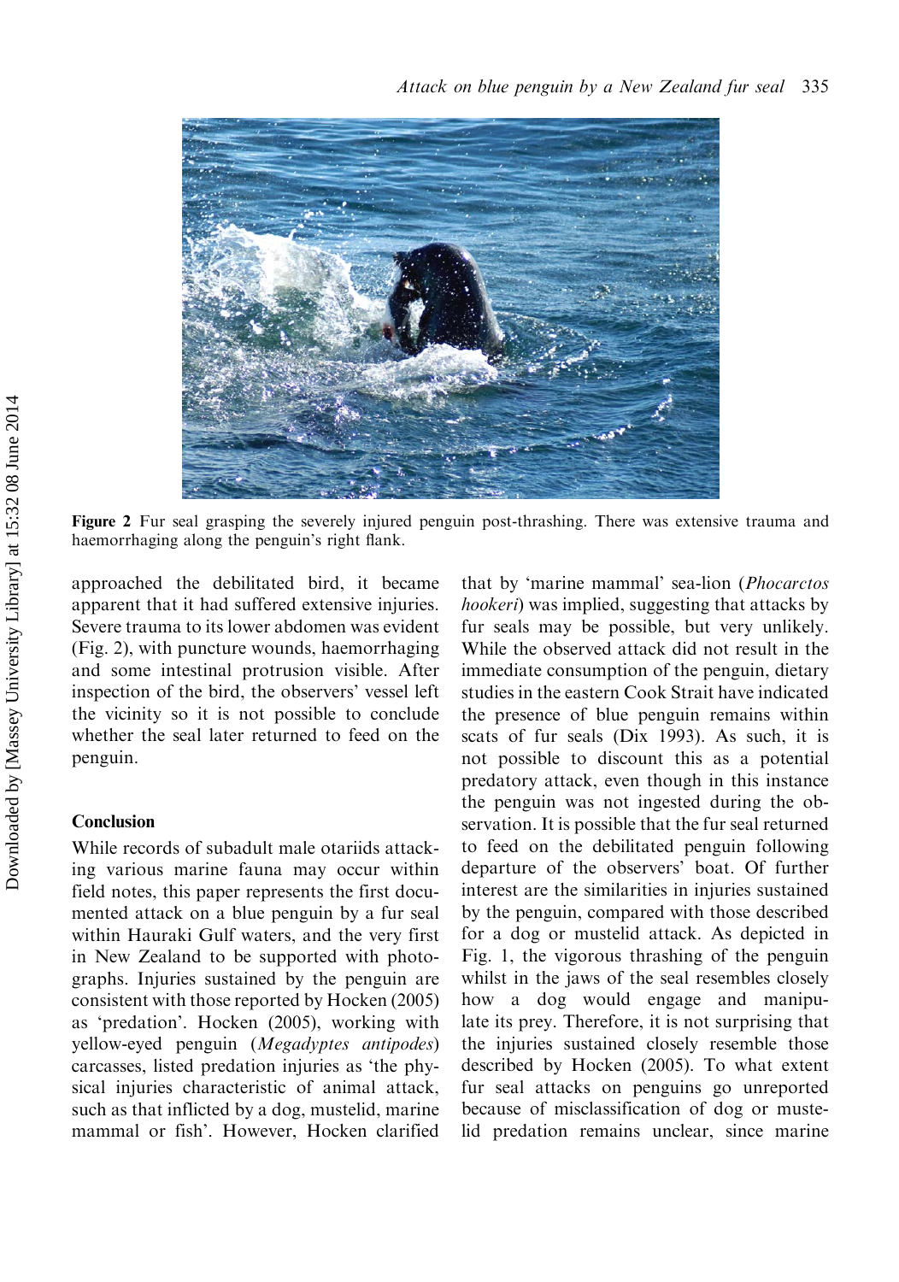

Figure 2 Fur seal grasping the severely injured penguin post-thrashing. There was extensive trauma and haemorrhaging along the penguin's right flank.

approached the debilitated bird, it became apparent that it had suffered extensive injuries. Severe trauma to its lower abdomen was evident (Fig. 2), with puncture wounds, haemorrhaging and some intestinal protrusion visible. After inspection of the bird, the observers' vessel left the vicinity so it is not possible to conclude whether the seal later returned to feed on the penguin.

#### Conclusion

While records of subadult male otariids attacking various marine fauna may occur within field notes, this paper represents the first documented attack on a blue penguin by a fur seal within Hauraki Gulf waters, and the very first in New Zealand to be supported with photographs. Injuries sustained by the penguin are consistent with those reported by Hocken (2005) as 'predation'. Hocken (2005), working with yellow-eyed penguin (Megadyptes antipodes) carcasses, listed predation injuries as 'the physical injuries characteristic of animal attack, such as that inflicted by a dog, mustelid, marine mammal or fish'. However, Hocken clarified

that by 'marine mammal' sea-lion (Phocarctos hookeri) was implied, suggesting that attacks by fur seals may be possible, but very unlikely. While the observed attack did not result in the immediate consumption of the penguin, dietary studies in the eastern Cook Strait have indicated the presence of blue penguin remains within scats of fur seals (Dix 1993). As such, it is not possible to discount this as a potential predatory attack, even though in this instance the penguin was not ingested during the observation. It is possible that the fur seal returned to feed on the debilitated penguin following departure of the observers' boat. Of further interest are the similarities in injuries sustained by the penguin, compared with those described for a dog or mustelid attack. As depicted in Fig. 1, the vigorous thrashing of the penguin whilst in the jaws of the seal resembles closely how a dog would engage and manipulate its prey. Therefore, it is not surprising that the injuries sustained closely resemble those described by Hocken (2005). To what extent fur seal attacks on penguins go unreported because of misclassification of dog or mustelid predation remains unclear, since marine